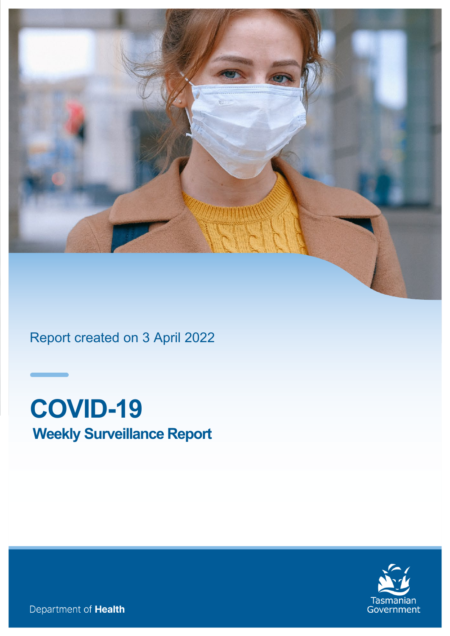

<span id="page-0-0"></span>Report created on 3 April 2022

# **COVID-19 Weekly Surveillance Report**



Department of Health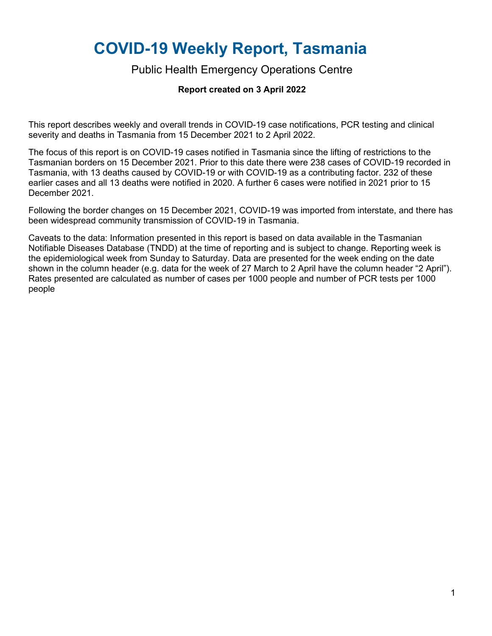# <span id="page-1-0"></span>**COVID-19 Weekly Report, Tasmania**

#### Public Health Emergency Operations Centre

#### **Report created on 3 April 2022**

This report describes weekly and overall trends in COVID-19 case notifications, PCR testing and clinical severity and deaths in Tasmania from 15 December 2021 to 2 April 2022.

The focus of this report is on COVID-19 cases notified in Tasmania since the lifting of restrictions to the Tasmanian borders on 15 December 2021. Prior to this date there were 238 cases of COVID-19 recorded in Tasmania, with 13 deaths caused by COVID-19 or with COVID-19 as a contributing factor. 232 of these earlier cases and all 13 deaths were notified in 2020. A further 6 cases were notified in 2021 prior to 15 December 2021.

Following the border changes on 15 December 2021, COVID-19 was imported from interstate, and there has been widespread community transmission of COVID-19 in Tasmania.

Caveats to the data: Information presented in this report is based on data available in the Tasmanian Notifiable Diseases Database (TNDD) at the time of reporting and is subject to change. Reporting week is the epidemiological week from Sunday to Saturday. Data are presented for the week ending on the date shown in the column header (e.g. data for the week of 27 March to 2 April have the column header "2 April"). Rates presented are calculated as number of cases per 1000 people and number of PCR tests per 1000 people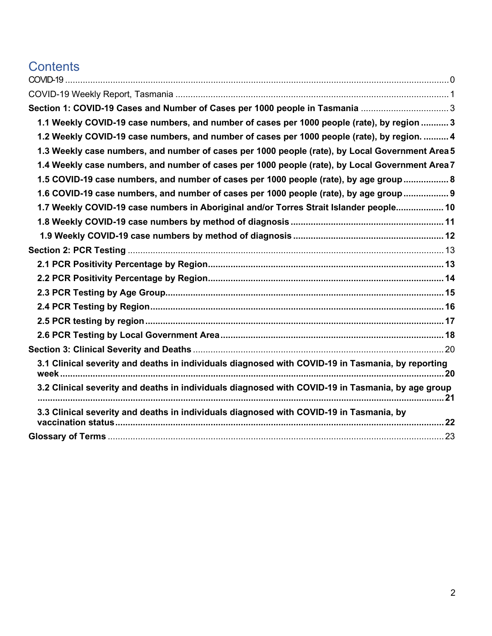# **Contents**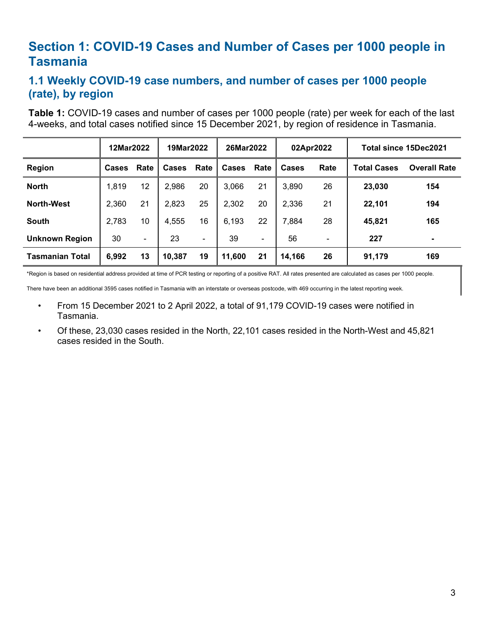## <span id="page-3-0"></span>**Section 1: COVID-19 Cases and Number of Cases per 1000 people in Tasmania**

#### <span id="page-3-1"></span>**1.1 Weekly COVID-19 case numbers, and number of cases per 1000 people (rate), by region**

**Table 1:** COVID-19 cases and number of cases per 1000 people (rate) per week for each of the last 4-weeks, and total cases notified since 15 December 2021, by region of residence in Tasmania.

|                        | 12Mar2022 |      | 19Mar2022    |      | 26Mar2022 |      | 02Apr2022    |      | Total since 15Dec2021 |                     |
|------------------------|-----------|------|--------------|------|-----------|------|--------------|------|-----------------------|---------------------|
| Region                 | Cases     | Rate | <b>Cases</b> | Rate | Cases     | Rate | <b>Cases</b> | Rate | <b>Total Cases</b>    | <b>Overall Rate</b> |
| <b>North</b>           | 1,819     | 12   | 2,986        | 20   | 3,066     | 21   | 3,890        | 26   | 23,030                | 154                 |
| <b>North-West</b>      | 2,360     | 21   | 2,823        | 25   | 2,302     | 20   | 2,336        | 21   | 22,101                | 194                 |
| <b>South</b>           | 2,783     | 10   | 4,555        | 16   | 6,193     | 22   | 7,884        | 28   | 45,821                | 165                 |
| <b>Unknown Region</b>  | 30        | ۰    | 23           | ۰    | 39        | -    | 56           | ٠    | 227                   | ۰                   |
| <b>Tasmanian Total</b> | 6,992     | 13   | 10,387       | 19   | 11,600    | 21   | 14,166       | 26   | 91,179                | 169                 |

\*Region is based on residential address provided at time of PCR testing or reporting of a positive RAT. All rates presented are calculated as cases per 1000 people.

There have been an additional 3595 cases notified in Tasmania with an interstate or overseas postcode, with 469 occurring in the latest reporting week.

- From 15 December 2021 to 2 April 2022, a total of 91,179 COVID-19 cases were notified in Tasmania.
- Of these, 23,030 cases resided in the North, 22,101 cases resided in the North-West and 45,821 cases resided in the South.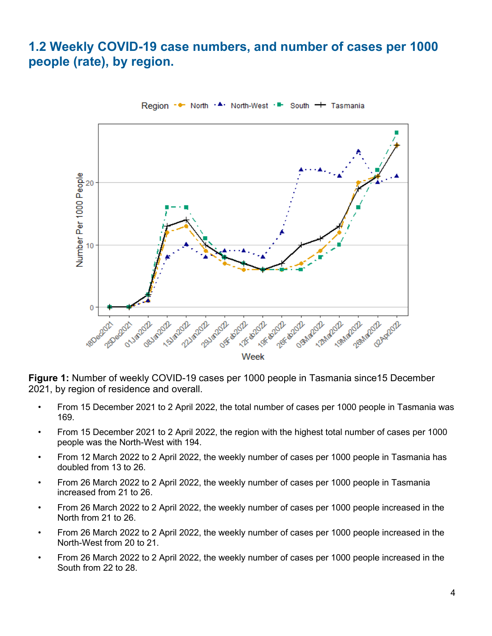## <span id="page-4-0"></span>**1.2 Weekly COVID-19 case numbers, and number of cases per 1000 people (rate), by region.**



Region - • North  $\cdot$  • North-West  $\cdot$  • South + Tasmania

**Figure 1:** Number of weekly COVID-19 cases per 1000 people in Tasmania since15 December 2021, by region of residence and overall.

- From 15 December 2021 to 2 April 2022, the total number of cases per 1000 people in Tasmania was 169.
- From 15 December 2021 to 2 April 2022, the region with the highest total number of cases per 1000 people was the North-West with 194.
- From 12 March 2022 to 2 April 2022, the weekly number of cases per 1000 people in Tasmania has doubled from 13 to 26.
- From 26 March 2022 to 2 April 2022, the weekly number of cases per 1000 people in Tasmania increased from 21 to 26.
- From 26 March 2022 to 2 April 2022, the weekly number of cases per 1000 people increased in the North from 21 to 26.
- From 26 March 2022 to 2 April 2022, the weekly number of cases per 1000 people increased in the North-West from 20 to 21.
- From 26 March 2022 to 2 April 2022, the weekly number of cases per 1000 people increased in the South from 22 to 28.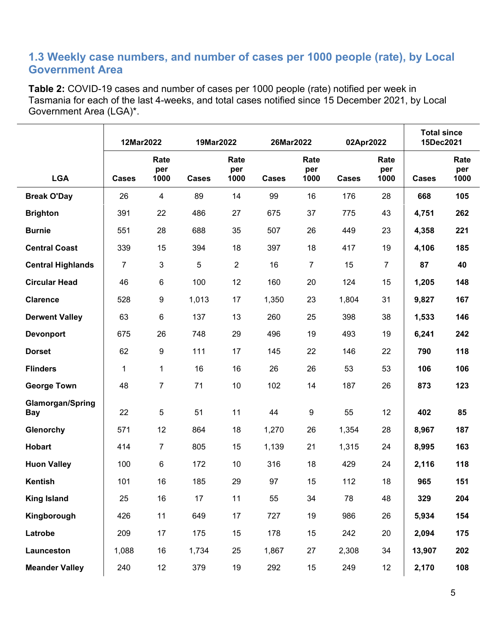#### <span id="page-5-0"></span>**1.3 Weekly case numbers, and number of cases per 1000 people (rate), by Local Government Area**

**Table 2:** COVID-19 cases and number of cases per 1000 people (rate) notified per week in Tasmania for each of the last 4-weeks, and total cases notified since 15 December 2021, by Local Government Area (LGA)\*.

|                                       | 12Mar2022      |                     | 19Mar2022    |                     | 26Mar2022    |                     | 02Apr2022    |                     | <b>Total since</b><br>15Dec2021 |                     |
|---------------------------------------|----------------|---------------------|--------------|---------------------|--------------|---------------------|--------------|---------------------|---------------------------------|---------------------|
| <b>LGA</b>                            | <b>Cases</b>   | Rate<br>per<br>1000 | <b>Cases</b> | Rate<br>per<br>1000 | <b>Cases</b> | Rate<br>per<br>1000 | <b>Cases</b> | Rate<br>per<br>1000 | <b>Cases</b>                    | Rate<br>per<br>1000 |
| <b>Break O'Day</b>                    | 26             | $\overline{4}$      | 89           | 14                  | 99           | 16                  | 176          | 28                  | 668                             | 105                 |
| <b>Brighton</b>                       | 391            | 22                  | 486          | 27                  | 675          | 37                  | 775          | 43                  | 4,751                           | 262                 |
| <b>Burnie</b>                         | 551            | 28                  | 688          | 35                  | 507          | 26                  | 449          | 23                  | 4,358                           | 221                 |
| <b>Central Coast</b>                  | 339            | 15                  | 394          | 18                  | 397          | 18                  | 417          | 19                  | 4,106                           | 185                 |
| <b>Central Highlands</b>              | $\overline{7}$ | $\mathbf{3}$        | 5            | $\overline{2}$      | 16           | $\overline{7}$      | 15           | 7                   | 87                              | 40                  |
| <b>Circular Head</b>                  | 46             | 6                   | 100          | 12                  | 160          | 20                  | 124          | 15                  | 1,205                           | 148                 |
| <b>Clarence</b>                       | 528            | 9                   | 1,013        | 17                  | 1,350        | 23                  | 1,804        | 31                  | 9,827                           | 167                 |
| <b>Derwent Valley</b>                 | 63             | 6                   | 137          | 13                  | 260          | 25                  | 398          | 38                  | 1,533                           | 146                 |
| <b>Devonport</b>                      | 675            | 26                  | 748          | 29                  | 496          | 19                  | 493          | 19                  | 6,241                           | 242                 |
| <b>Dorset</b>                         | 62             | 9                   | 111          | 17                  | 145          | 22                  | 146          | 22                  | 790                             | 118                 |
| <b>Flinders</b>                       | $\mathbf 1$    | 1                   | 16           | 16                  | 26           | 26                  | 53           | 53                  | 106                             | 106                 |
| <b>George Town</b>                    | 48             | $\overline{7}$      | 71           | 10                  | 102          | 14                  | 187          | 26                  | 873                             | 123                 |
| <b>Glamorgan/Spring</b><br><b>Bay</b> | 22             | 5                   | 51           | 11                  | 44           | 9                   | 55           | 12                  | 402                             | 85                  |
| Glenorchy                             | 571            | 12                  | 864          | 18                  | 1,270        | 26                  | 1,354        | 28                  | 8,967                           | 187                 |
| <b>Hobart</b>                         | 414            | $\overline{7}$      | 805          | 15                  | 1,139        | 21                  | 1,315        | 24                  | 8,995                           | 163                 |
| <b>Huon Valley</b>                    | 100            | 6                   | 172          | 10                  | 316          | 18                  | 429          | 24                  | 2,116                           | 118                 |
| <b>Kentish</b>                        | 101            | 16                  | 185          | 29                  | 97           | 15                  | 112          | 18                  | 965                             | 151                 |
| <b>King Island</b>                    | 25             | 16                  | 17           | 11                  | 55           | 34                  | 78           | 48                  | 329                             | 204                 |
| Kingborough                           | 426            | 11                  | 649          | $17\,$              | 727          | 19                  | 986          | 26                  | 5,934                           | 154                 |
| Latrobe                               | 209            | 17                  | 175          | 15                  | 178          | 15                  | 242          | 20                  | 2,094                           | 175                 |
| Launceston                            | 1,088          | 16                  | 1,734        | 25                  | 1,867        | 27                  | 2,308        | 34                  | 13,907                          | 202                 |
| <b>Meander Valley</b>                 | 240            | 12                  | 379          | 19                  | 292          | 15                  | 249          | 12                  | 2,170                           | 108                 |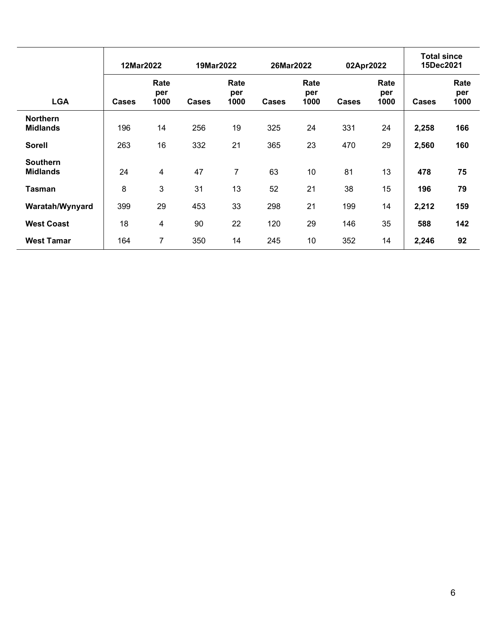|                                    | 12Mar2022 |                     |              | 19Mar2022           |              | 26Mar2022           |              | 02Apr2022           |              | <b>Total since</b><br>15Dec2021 |  |
|------------------------------------|-----------|---------------------|--------------|---------------------|--------------|---------------------|--------------|---------------------|--------------|---------------------------------|--|
| <b>LGA</b>                         | Cases     | Rate<br>per<br>1000 | <b>Cases</b> | Rate<br>per<br>1000 | <b>Cases</b> | Rate<br>per<br>1000 | <b>Cases</b> | Rate<br>per<br>1000 | <b>Cases</b> | Rate<br>per<br>1000             |  |
| <b>Northern</b><br><b>Midlands</b> | 196       | 14                  | 256          | 19                  | 325          | 24                  | 331          | 24                  | 2,258        | 166                             |  |
| <b>Sorell</b>                      | 263       | 16                  | 332          | 21                  | 365          | 23                  | 470          | 29                  | 2,560        | 160                             |  |
| <b>Southern</b><br><b>Midlands</b> | 24        | $\overline{4}$      | 47           | $\overline{7}$      | 63           | 10                  | 81           | 13                  | 478          | 75                              |  |
| <b>Tasman</b>                      | 8         | 3                   | 31           | 13                  | 52           | 21                  | 38           | 15                  | 196          | 79                              |  |
| Waratah/Wynyard                    | 399       | 29                  | 453          | 33                  | 298          | 21                  | 199          | 14                  | 2,212        | 159                             |  |
| <b>West Coast</b>                  | 18        | 4                   | 90           | 22                  | 120          | 29                  | 146          | 35                  | 588          | 142                             |  |
| <b>West Tamar</b>                  | 164       | 7                   | 350          | 14                  | 245          | 10                  | 352          | 14                  | 2,246        | 92                              |  |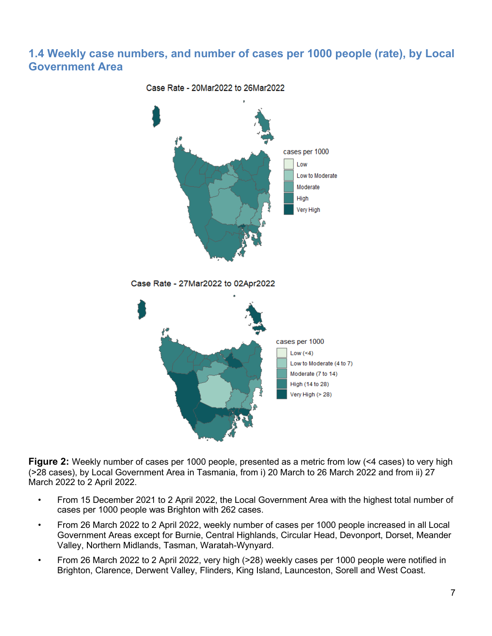#### <span id="page-7-0"></span>**1.4 Weekly case numbers, and number of cases per 1000 people (rate), by Local Government Area**



**Figure 2:** Weekly number of cases per 1000 people, presented as a metric from low (<4 cases) to very high (>28 cases), by Local Government Area in Tasmania, from i) 20 March to 26 March 2022 and from ii) 27 March 2022 to 2 April 2022.

- From 15 December 2021 to 2 April 2022, the Local Government Area with the highest total number of cases per 1000 people was Brighton with 262 cases.
- From 26 March 2022 to 2 April 2022, weekly number of cases per 1000 people increased in all Local Government Areas except for Burnie, Central Highlands, Circular Head, Devonport, Dorset, Meander Valley, Northern Midlands, Tasman, Waratah-Wynyard.
- From 26 March 2022 to 2 April 2022, very high (>28) weekly cases per 1000 people were notified in Brighton, Clarence, Derwent Valley, Flinders, King Island, Launceston, Sorell and West Coast.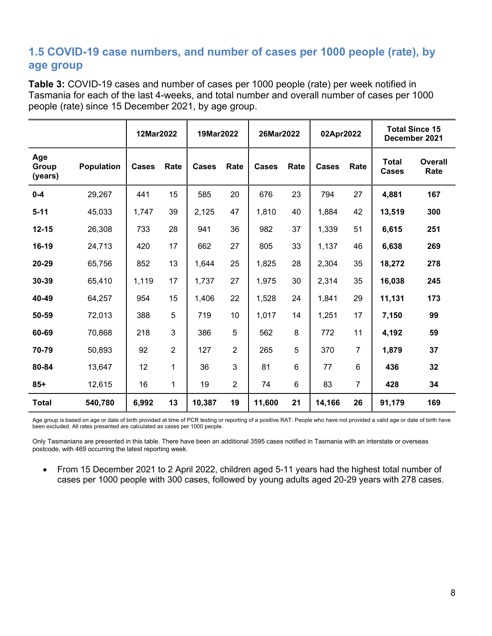#### <span id="page-8-0"></span>**1.5 COVID-19 case numbers, and number of cases per 1000 people (rate), by age group**

**Table 3:** COVID-19 cases and number of cases per 1000 people (rate) per week notified in Tasmania for each of the last 4-weeks, and total number and overall number of cases per 1000 people (rate) since 15 December 2021, by age group.

|                         |                   | 12Mar2022 |                | 19Mar2022 |                | 26Mar2022 |      | 02Apr2022    |                | <b>Total Since 15</b><br>December 2021 |                 |  |
|-------------------------|-------------------|-----------|----------------|-----------|----------------|-----------|------|--------------|----------------|----------------------------------------|-----------------|--|
| Age<br>Group<br>(years) | <b>Population</b> | Cases     | Rate           | Cases     | Rate           | Cases     | Rate | <b>Cases</b> | Rate           | <b>Total</b><br><b>Cases</b>           | Overall<br>Rate |  |
| $0 - 4$                 | 29,267            | 441       | 15             | 585       | 20             | 676       | 23   | 794          | 27             | 4,881                                  | 167             |  |
| $5 - 11$                | 45,033            | 1,747     | 39             | 2,125     | 47             | 1,810     | 40   | 1,884        | 42             | 13,519                                 | 300             |  |
| $12 - 15$               | 26,308            | 733       | 28             | 941       | 36             | 982       | 37   | 1,339        | 51             | 6,615                                  | 251             |  |
| 16-19                   | 24,713            | 420       | 17             | 662       | 27             | 805       | 33   | 1,137        | 46             | 6,638                                  | 269             |  |
| 20-29                   | 65,756            | 852       | 13             | 1,644     | 25             | 1,825     | 28   | 2,304        | 35             | 18,272                                 | 278             |  |
| 30-39                   | 65,410            | 1,119     | 17             | 1,737     | 27             | 1,975     | 30   | 2,314        | 35             | 16,038                                 | 245             |  |
| 40-49                   | 64,257            | 954       | 15             | 1,406     | 22             | 1,528     | 24   | 1,841        | 29             | 11,131                                 | 173             |  |
| 50-59                   | 72,013            | 388       | 5              | 719       | 10             | 1,017     | 14   | 1,251        | 17             | 7,150                                  | 99              |  |
| 60-69                   | 70,868            | 218       | 3              | 386       | 5              | 562       | 8    | 772          | 11             | 4,192                                  | 59              |  |
| 70-79                   | 50,893            | 92        | $\overline{2}$ | 127       | $\overline{2}$ | 265       | 5    | 370          | $\overline{7}$ | 1,879                                  | 37              |  |
| 80-84                   | 13,647            | 12        | 1              | 36        | 3              | 81        | 6    | 77           | 6              | 436                                    | 32              |  |
| $85+$                   | 12,615            | 16        | $\mathbf{1}$   | 19        | $\overline{2}$ | 74        | 6    | 83           | $\overline{7}$ | 428                                    | 34              |  |
| <b>Total</b>            | 540,780           | 6,992     | 13             | 10,387    | 19             | 11,600    | 21   | 14,166       | 26             | 91,179                                 | 169             |  |

Age group is based on age or date of birth provided at time of PCR testing or reporting of a positive RAT. People who have not provided a valid age or date of birth have been excluded. All rates presented are calculated as cases per 1000 people.

Only Tasmanians are presented in this table. There have been an additional 3595 cases notified in Tasmania with an interstate or overseas postcode, with 469 occurring the latest reporting week.

• From 15 December 2021 to 2 April 2022, children aged 5-11 years had the highest total number of cases per 1000 people with 300 cases, followed by young adults aged 20-29 years with 278 cases.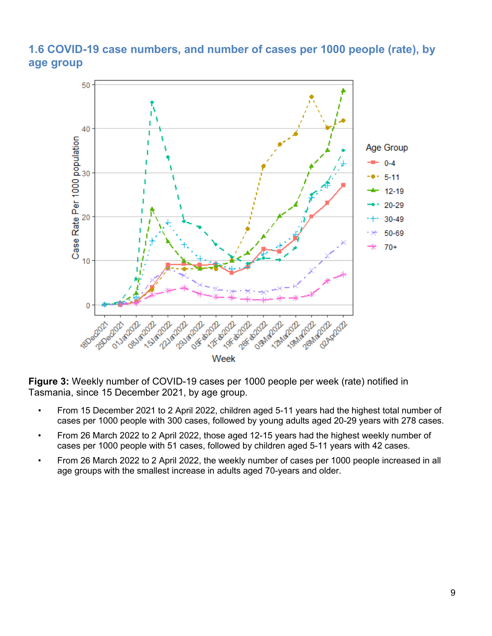#### <span id="page-9-0"></span>**1.6 COVID-19 case numbers, and number of cases per 1000 people (rate), by age group**



**Figure 3:** Weekly number of COVID-19 cases per 1000 people per week (rate) notified in Tasmania, since 15 December 2021, by age group.

- From 15 December 2021 to 2 April 2022, children aged 5-11 years had the highest total number of cases per 1000 people with 300 cases, followed by young adults aged 20-29 years with 278 cases.
- From 26 March 2022 to 2 April 2022, those aged 12-15 years had the highest weekly number of cases per 1000 people with 51 cases, followed by children aged 5-11 years with 42 cases.
- From 26 March 2022 to 2 April 2022, the weekly number of cases per 1000 people increased in all age groups with the smallest increase in adults aged 70-years and older.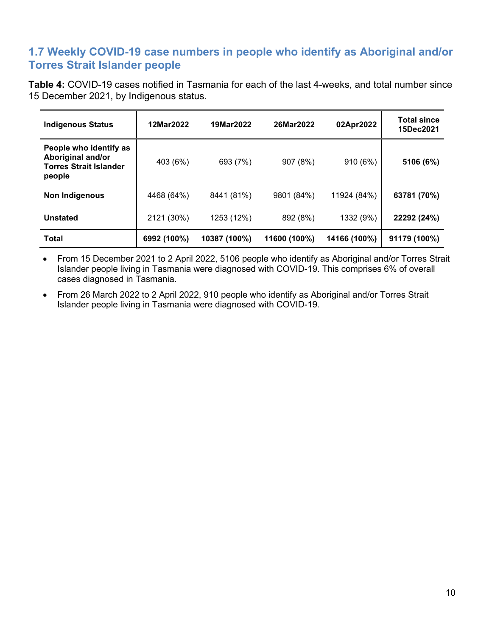#### <span id="page-10-0"></span>**1.7 Weekly COVID-19 case numbers in people who identify as Aboriginal and/or Torres Strait Islander people**

**Table 4:** COVID-19 cases notified in Tasmania for each of the last 4-weeks, and total number since 15 December 2021, by Indigenous status.

| <b>Indigenous Status</b>                                                               | 12Mar2022   | 19Mar2022    | 26Mar2022    | 02Apr2022    | <b>Total since</b><br>15Dec2021 |
|----------------------------------------------------------------------------------------|-------------|--------------|--------------|--------------|---------------------------------|
| People who identify as<br>Aboriginal and/or<br><b>Torres Strait Islander</b><br>people | 403 (6%)    | 693 (7%)     | 907 (8%)     | 910 (6%)     | 5106 (6%)                       |
| <b>Non Indigenous</b>                                                                  | 4468 (64%)  | 8441 (81%)   | 9801 (84%)   | 11924 (84%)  | 63781 (70%)                     |
| <b>Unstated</b>                                                                        | 2121 (30%)  | 1253 (12%)   | 892 (8%)     | 1332 (9%)    | 22292 (24%)                     |
| <b>Total</b>                                                                           | 6992 (100%) | 10387 (100%) | 11600 (100%) | 14166 (100%) | 91179 (100%)                    |

• From 15 December 2021 to 2 April 2022, 5106 people who identify as Aboriginal and/or Torres Strait Islander people living in Tasmania were diagnosed with COVID-19. This comprises 6% of overall cases diagnosed in Tasmania.

• From 26 March 2022 to 2 April 2022, 910 people who identify as Aboriginal and/or Torres Strait Islander people living in Tasmania were diagnosed with COVID-19.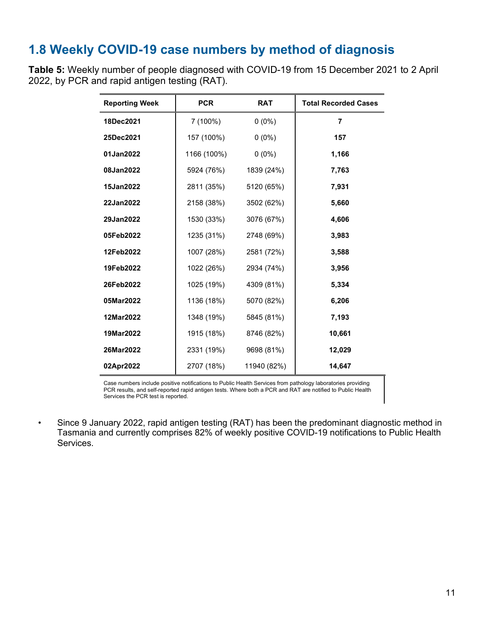## <span id="page-11-0"></span>**1.8 Weekly COVID-19 case numbers by method of diagnosis**

**Table 5:** Weekly number of people diagnosed with COVID-19 from 15 December 2021 to 2 April 2022, by PCR and rapid antigen testing (RAT).

| <b>Reporting Week</b> | <b>PCR</b>  | <b>RAT</b>  | <b>Total Recorded Cases</b> |
|-----------------------|-------------|-------------|-----------------------------|
| 18Dec2021             | 7 (100%)    | $0(0\%)$    | $\overline{7}$              |
| 25Dec2021             | 157 (100%)  | $0(0\%)$    | 157                         |
| 01Jan2022             | 1166 (100%) | $0(0\%)$    | 1,166                       |
| 08Jan2022             | 5924 (76%)  | 1839 (24%)  | 7,763                       |
| 15Jan2022             | 2811 (35%)  | 5120 (65%)  | 7,931                       |
| 22Jan2022             | 2158 (38%)  | 3502 (62%)  | 5,660                       |
| 29Jan2022             | 1530 (33%)  | 3076 (67%)  | 4,606                       |
| 05Feb2022             | 1235 (31%)  | 2748 (69%)  | 3,983                       |
| 12Feb2022             | 1007 (28%)  | 2581 (72%)  | 3,588                       |
| 19Feb2022             | 1022 (26%)  | 2934 (74%)  | 3,956                       |
| 26Feb2022             | 1025 (19%)  | 4309 (81%)  | 5,334                       |
| 05Mar2022             | 1136 (18%)  | 5070 (82%)  | 6,206                       |
| 12Mar2022             | 1348 (19%)  | 5845 (81%)  | 7,193                       |
| 19Mar2022             | 1915 (18%)  | 8746 (82%)  | 10,661                      |
| 26Mar2022             | 2331 (19%)  | 9698 (81%)  | 12,029                      |
| 02Apr2022             | 2707 (18%)  | 11940 (82%) | 14,647                      |

Case numbers include positive notifications to Public Health Services from pathology laboratories providing PCR results, and self-reported rapid antigen tests. Where both a PCR and RAT are notified to Public Health Services the PCR test is reported.

• Since 9 January 2022, rapid antigen testing (RAT) has been the predominant diagnostic method in Tasmania and currently comprises 82% of weekly positive COVID-19 notifications to Public Health Services.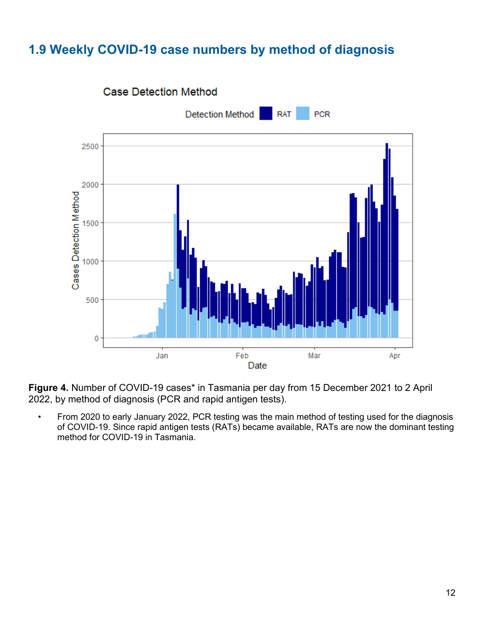## <span id="page-12-0"></span>**1.9 Weekly COVID-19 case numbers by method of diagnosis**



**Figure 4.** Number of COVID-19 cases\* in Tasmania per day from 15 December 2021 to 2 April 2022, by method of diagnosis (PCR and rapid antigen tests).

• From 2020 to early January 2022, PCR testing was the main method of testing used for the diagnosis of COVID-19. Since rapid antigen tests (RATs) became available, RATs are now the dominant testing method for COVID-19 in Tasmania.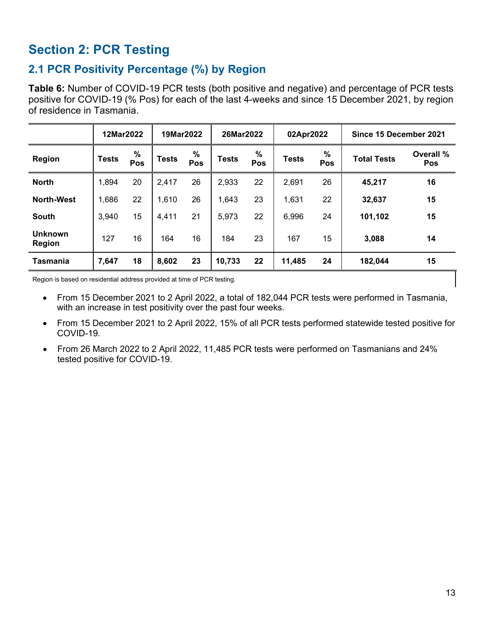# <span id="page-13-0"></span>**Section 2: PCR Testing**

## <span id="page-13-1"></span>**2.1 PCR Positivity Percentage (%) by Region**

**Table 6:** Number of COVID-19 PCR tests (both positive and negative) and percentage of PCR tests positive for COVID-19 (% Pos) for each of the last 4-weeks and since 15 December 2021, by region of residence in Tasmania.

|                          | 12Mar2022    |          | 19Mar2022    |             | 26Mar2022    |          | 02Apr2022    |          | Since 15 December 2021 |                         |
|--------------------------|--------------|----------|--------------|-------------|--------------|----------|--------------|----------|------------------------|-------------------------|
| <b>Region</b>            | <b>Tests</b> | %<br>Pos | <b>Tests</b> | $\%$<br>Pos | <b>Tests</b> | %<br>Pos | <b>Tests</b> | %<br>Pos | <b>Total Tests</b>     | Overall %<br><b>Pos</b> |
| <b>North</b>             | 1,894        | 20       | 2,417        | 26          | 2,933        | 22       | 2,691        | 26       | 45,217                 | 16                      |
| <b>North-West</b>        | ,686         | 22       | 1,610        | 26          | 1,643        | 23       | 1,631        | 22       | 32,637                 | 15                      |
| <b>South</b>             | 3,940        | 15       | 4,411        | 21          | 5,973        | 22       | 6,996        | 24       | 101,102                | 15                      |
| <b>Unknown</b><br>Region | 127          | 16       | 164          | 16          | 184          | 23       | 167          | 15       | 3,088                  | 14                      |
| Tasmania                 | 7,647        | 18       | 8,602        | 23          | 10,733       | 22       | 11,485       | 24       | 182,044                | 15                      |

Region is based on residential address provided at time of PCR testing.

- From 15 December 2021 to 2 April 2022, a total of 182,044 PCR tests were performed in Tasmania, with an increase in test positivity over the past four weeks.
- From 15 December 2021 to 2 April 2022, 15% of all PCR tests performed statewide tested positive for COVID-19.
- From 26 March 2022 to 2 April 2022, 11,485 PCR tests were performed on Tasmanians and 24% tested positive for COVID-19.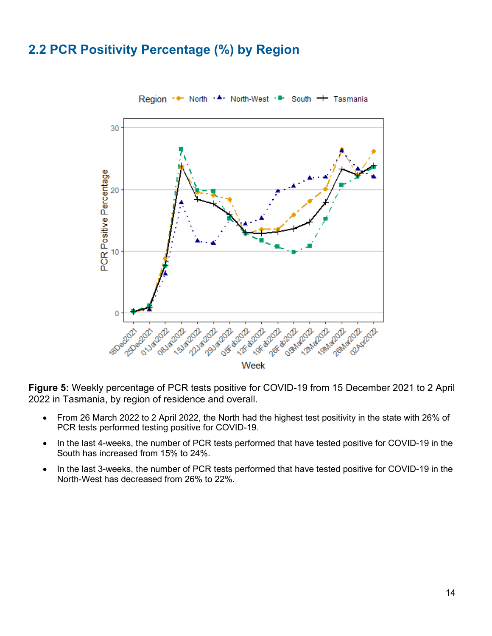## <span id="page-14-0"></span>**2.2 PCR Positivity Percentage (%) by Region**



**Figure 5:** Weekly percentage of PCR tests positive for COVID-19 from 15 December 2021 to 2 April 2022 in Tasmania, by region of residence and overall.

- From 26 March 2022 to 2 April 2022, the North had the highest test positivity in the state with 26% of PCR tests performed testing positive for COVID-19.
- In the last 4-weeks, the number of PCR tests performed that have tested positive for COVID-19 in the South has increased from 15% to 24%.
- In the last 3-weeks, the number of PCR tests performed that have tested positive for COVID-19 in the North-West has decreased from 26% to 22%.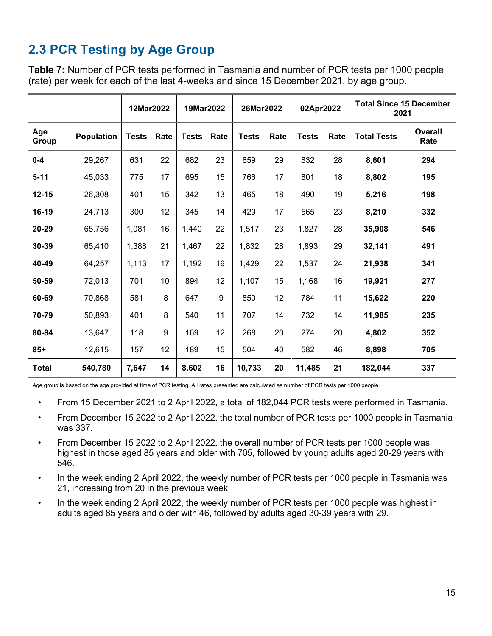# <span id="page-15-0"></span>**2.3 PCR Testing by Age Group**

**Table 7:** Number of PCR tests performed in Tasmania and number of PCR tests per 1000 people (rate) per week for each of the last 4-weeks and since 15 December 2021, by age group.

|              |            | 12Mar2022    |      | 19Mar2022    |      | 26Mar2022    |      | 02Apr2022    |      | <b>Total Since 15 December</b><br>2021 |                        |
|--------------|------------|--------------|------|--------------|------|--------------|------|--------------|------|----------------------------------------|------------------------|
| Age<br>Group | Population | <b>Tests</b> | Rate | <b>Tests</b> | Rate | <b>Tests</b> | Rate | <b>Tests</b> | Rate | <b>Total Tests</b>                     | <b>Overall</b><br>Rate |
| $0-4$        | 29,267     | 631          | 22   | 682          | 23   | 859          | 29   | 832          | 28   | 8,601                                  | 294                    |
| $5 - 11$     | 45,033     | 775          | 17   | 695          | 15   | 766          | 17   | 801          | 18   | 8,802                                  | 195                    |
| $12 - 15$    | 26,308     | 401          | 15   | 342          | 13   | 465          | 18   | 490          | 19   | 5,216                                  | 198                    |
| 16-19        | 24,713     | 300          | 12   | 345          | 14   | 429          | 17   | 565          | 23   | 8,210                                  | 332                    |
| 20-29        | 65,756     | 1,081        | 16   | 1,440        | 22   | 1,517        | 23   | 1,827        | 28   | 35,908                                 | 546                    |
| 30-39        | 65,410     | 1,388        | 21   | 1,467        | 22   | 1,832        | 28   | 1,893        | 29   | 32,141                                 | 491                    |
| 40-49        | 64,257     | 1,113        | 17   | 1,192        | 19   | 1,429        | 22   | 1,537        | 24   | 21,938                                 | 341                    |
| 50-59        | 72,013     | 701          | 10   | 894          | 12   | 1,107        | 15   | 1,168        | 16   | 19,921                                 | 277                    |
| 60-69        | 70,868     | 581          | 8    | 647          | 9    | 850          | 12   | 784          | 11   | 15,622                                 | 220                    |
| 70-79        | 50,893     | 401          | 8    | 540          | 11   | 707          | 14   | 732          | 14   | 11,985                                 | 235                    |
| 80-84        | 13,647     | 118          | 9    | 169          | 12   | 268          | 20   | 274          | 20   | 4,802                                  | 352                    |
| $85+$        | 12,615     | 157          | 12   | 189          | 15   | 504          | 40   | 582          | 46   | 8,898                                  | 705                    |
| <b>Total</b> | 540,780    | 7,647        | 14   | 8,602        | 16   | 10,733       | 20   | 11,485       | 21   | 182,044                                | 337                    |

Age group is based on the age provided at time of PCR testing. All rates presented are calculated as number of PCR tests per 1000 people.

- From 15 December 2021 to 2 April 2022, a total of 182,044 PCR tests were performed in Tasmania.
- From December 15 2022 to 2 April 2022, the total number of PCR tests per 1000 people in Tasmania was 337.
- From December 15 2022 to 2 April 2022, the overall number of PCR tests per 1000 people was highest in those aged 85 years and older with 705, followed by young adults aged 20-29 years with 546.
- In the week ending 2 April 2022, the weekly number of PCR tests per 1000 people in Tasmania was 21, increasing from 20 in the previous week.
- In the week ending 2 April 2022, the weekly number of PCR tests per 1000 people was highest in adults aged 85 years and older with 46, followed by adults aged 30-39 years with 29.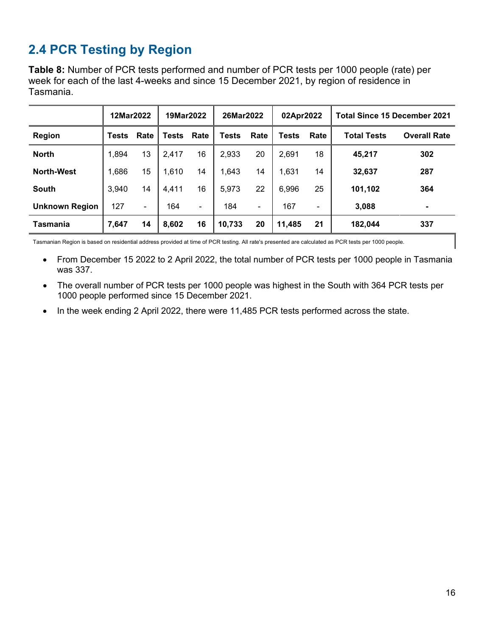# <span id="page-16-0"></span>**2.4 PCR Testing by Region**

**Table 8:** Number of PCR tests performed and number of PCR tests per 1000 people (rate) per week for each of the last 4-weeks and since 15 December 2021, by region of residence in Tasmania.

|                       | 12Mar2022 |      | 19Mar2022    |      | 26Mar2022    |      | 02Apr2022 |      | <b>Total Since 15 December 2021</b> |                     |  |
|-----------------------|-----------|------|--------------|------|--------------|------|-----------|------|-------------------------------------|---------------------|--|
| <b>Region</b>         | Tests     | Rate | <b>Tests</b> | Rate | <b>Tests</b> | Rate | Tests     | Rate | <b>Total Tests</b>                  | <b>Overall Rate</b> |  |
| <b>North</b>          | 1,894     | 13   | 2,417        | 16   | 2,933        | 20   | 2,691     | 18   | 45,217                              | 302                 |  |
| <b>North-West</b>     | 1,686     | 15   | 1,610        | 14   | 1,643        | 14   | 1,631     | 14   | 32,637                              | 287                 |  |
| <b>South</b>          | 3,940     | 14   | 4,411        | 16   | 5,973        | 22   | 6,996     | 25   | 101,102                             | 364                 |  |
| <b>Unknown Region</b> | 127       | ۰    | 164          | ۰    | 184          | ۰    | 167       | ۰    | 3,088                               |                     |  |
| Tasmania              | 7,647     | 14   | 8,602        | 16   | 10,733       | 20   | 11,485    | 21   | 182,044                             | 337                 |  |

Tasmanian Region is based on residential address provided at time of PCR testing. All rate's presented are calculated as PCR tests per 1000 people.

- From December 15 2022 to 2 April 2022, the total number of PCR tests per 1000 people in Tasmania was 337.
- The overall number of PCR tests per 1000 people was highest in the South with 364 PCR tests per 1000 people performed since 15 December 2021.
- In the week ending 2 April 2022, there were 11,485 PCR tests performed across the state.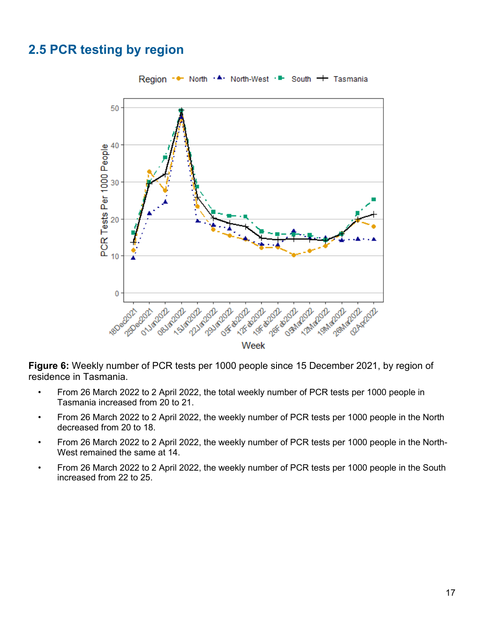## <span id="page-17-0"></span>**2.5 PCR testing by region**



**Figure 6:** Weekly number of PCR tests per 1000 people since 15 December 2021, by region of residence in Tasmania.

- From 26 March 2022 to 2 April 2022, the total weekly number of PCR tests per 1000 people in Tasmania increased from 20 to 21.
- From 26 March 2022 to 2 April 2022, the weekly number of PCR tests per 1000 people in the North decreased from 20 to 18.
- From 26 March 2022 to 2 April 2022, the weekly number of PCR tests per 1000 people in the North-West remained the same at 14.
- From 26 March 2022 to 2 April 2022, the weekly number of PCR tests per 1000 people in the South increased from 22 to 25.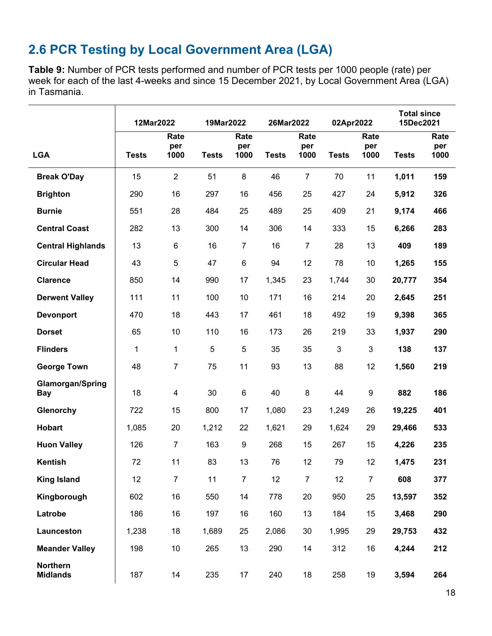# <span id="page-18-0"></span>**2.6 PCR Testing by Local Government Area (LGA)**

**Table 9:** Number of PCR tests performed and number of PCR tests per 1000 people (rate) per week for each of the last 4-weeks and since 15 December 2021, by Local Government Area (LGA) in Tasmania.

|                                       | 12Mar2022    |                     | 19Mar2022    |                     | 26Mar2022    |                     | 02Apr2022    |                     | <b>Total since</b><br>15Dec2021 |                     |
|---------------------------------------|--------------|---------------------|--------------|---------------------|--------------|---------------------|--------------|---------------------|---------------------------------|---------------------|
| <b>LGA</b>                            | <b>Tests</b> | Rate<br>per<br>1000 | <b>Tests</b> | Rate<br>per<br>1000 | <b>Tests</b> | Rate<br>per<br>1000 | <b>Tests</b> | Rate<br>per<br>1000 | <b>Tests</b>                    | Rate<br>per<br>1000 |
| <b>Break O'Day</b>                    | 15           | $\overline{2}$      | 51           | $\bf 8$             | 46           | $\overline{7}$      | 70           | 11                  | 1,011                           | 159                 |
| <b>Brighton</b>                       | 290          | 16                  | 297          | 16                  | 456          | 25                  | 427          | 24                  | 5,912                           | 326                 |
| <b>Burnie</b>                         | 551          | 28                  | 484          | 25                  | 489          | 25                  | 409          | 21                  | 9,174                           | 466                 |
| <b>Central Coast</b>                  | 282          | 13                  | 300          | 14                  | 306          | 14                  | 333          | 15                  | 6,266                           | 283                 |
| <b>Central Highlands</b>              | 13           | 6                   | 16           | $\overline{7}$      | 16           | $\overline{7}$      | 28           | 13                  | 409                             | 189                 |
| <b>Circular Head</b>                  | 43           | 5                   | 47           | 6                   | 94           | 12                  | 78           | 10                  | 1,265                           | 155                 |
| <b>Clarence</b>                       | 850          | 14                  | 990          | 17                  | 1,345        | 23                  | 1,744        | 30                  | 20,777                          | 354                 |
| <b>Derwent Valley</b>                 | 111          | 11                  | 100          | 10                  | 171          | 16                  | 214          | 20                  | 2,645                           | 251                 |
| <b>Devonport</b>                      | 470          | 18                  | 443          | 17                  | 461          | 18                  | 492          | 19                  | 9,398                           | 365                 |
| <b>Dorset</b>                         | 65           | 10                  | 110          | 16                  | 173          | 26                  | 219          | 33                  | 1,937                           | 290                 |
| <b>Flinders</b>                       | 1            | 1                   | 5            | 5                   | 35           | 35                  | 3            | 3                   | 138                             | 137                 |
| <b>George Town</b>                    | 48           | 7                   | 75           | 11                  | 93           | 13                  | 88           | 12                  | 1,560                           | 219                 |
| <b>Glamorgan/Spring</b><br><b>Bay</b> | 18           | 4                   | 30           | 6                   | 40           | 8                   | 44           | 9                   | 882                             | 186                 |
| Glenorchy                             | 722          | 15                  | 800          | 17                  | 1,080        | 23                  | 1,249        | 26                  | 19,225                          | 401                 |
| Hobart                                | 1,085        | 20                  | 1,212        | 22                  | 1,621        | 29                  | 1,624        | 29                  | 29,466                          | 533                 |
| <b>Huon Valley</b>                    | 126          | 7                   | 163          | 9                   | 268          | 15                  | 267          | 15                  | 4,226                           | 235                 |
| <b>Kentish</b>                        | 72           | 11                  | 83           | 13                  | 76           | 12                  | 79           | 12                  | 1,475                           | 231                 |
| <b>King Island</b>                    | 12           | $\overline{7}$      | 11           | $\overline{7}$      | 12           | $\overline{7}$      | 12           | $\overline{7}$      | 608                             | 377                 |
| Kingborough                           | 602          | 16                  | 550          | 14                  | 778          | 20                  | 950          | 25                  | 13,597                          | 352                 |
| Latrobe                               | 186          | 16                  | 197          | 16                  | 160          | 13                  | 184          | 15                  | 3,468                           | 290                 |
| Launceston                            | 1,238        | 18                  | 1,689        | 25                  | 2,086        | 30                  | 1,995        | 29                  | 29,753                          | 432                 |
| <b>Meander Valley</b>                 | 198          | 10                  | 265          | 13                  | 290          | 14                  | 312          | 16                  | 4,244                           | 212                 |
| <b>Northern</b><br><b>Midlands</b>    | 187          | 14                  | 235          | 17                  | 240          | 18                  | 258          | 19                  | 3,594                           | 264                 |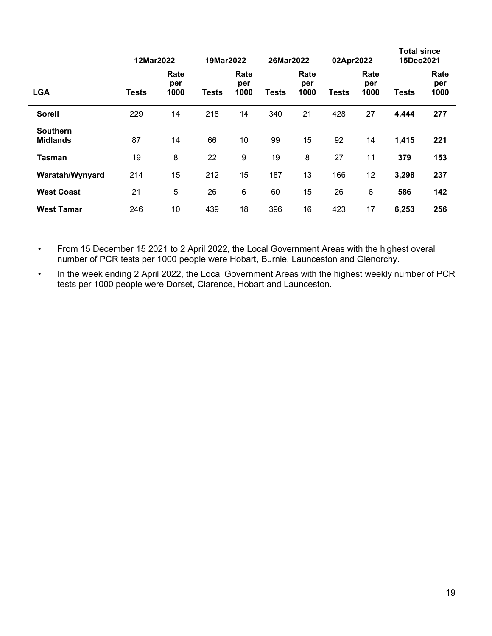|                                    | 12Mar2022 |                     |              | 19Mar2022           |       | 26Mar2022           |       | 02Apr2022           |              | <b>Total since</b><br>15Dec2021 |  |
|------------------------------------|-----------|---------------------|--------------|---------------------|-------|---------------------|-------|---------------------|--------------|---------------------------------|--|
| <b>LGA</b>                         | Tests     | Rate<br>per<br>1000 | <b>Tests</b> | Rate<br>per<br>1000 | Tests | Rate<br>per<br>1000 | Tests | Rate<br>per<br>1000 | <b>Tests</b> | Rate<br>per<br>1000             |  |
| <b>Sorell</b>                      | 229       | 14                  | 218          | 14                  | 340   | 21                  | 428   | 27                  | 4,444        | 277                             |  |
| <b>Southern</b><br><b>Midlands</b> | 87        | 14                  | 66           | 10                  | 99    | 15                  | 92    | 14                  | 1,415        | 221                             |  |
| Tasman                             | 19        | 8                   | 22           | 9                   | 19    | 8                   | 27    | 11                  | 379          | 153                             |  |
| Waratah/Wynyard                    | 214       | 15                  | 212          | 15                  | 187   | 13                  | 166   | 12                  | 3,298        | 237                             |  |
| <b>West Coast</b>                  | 21        | 5                   | 26           | 6                   | 60    | 15                  | 26    | 6                   | 586          | 142                             |  |
| <b>West Tamar</b>                  | 246       | 10                  | 439          | 18                  | 396   | 16                  | 423   | 17                  | 6,253        | 256                             |  |

• From 15 December 15 2021 to 2 April 2022, the Local Government Areas with the highest overall number of PCR tests per 1000 people were Hobart, Burnie, Launceston and Glenorchy.

• In the week ending 2 April 2022, the Local Government Areas with the highest weekly number of PCR tests per 1000 people were Dorset, Clarence, Hobart and Launceston.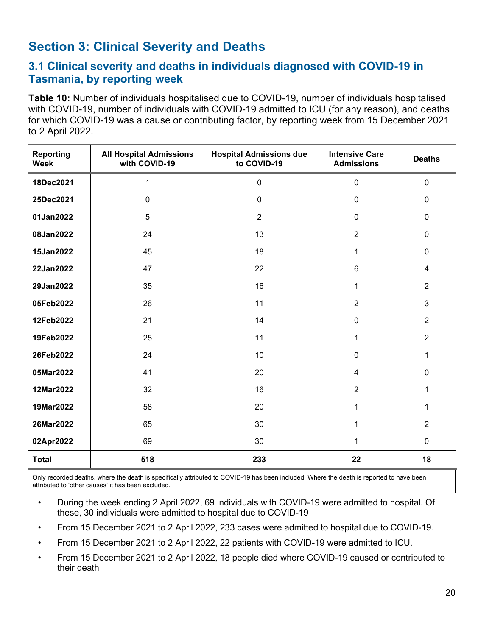## <span id="page-20-0"></span>**Section 3: Clinical Severity and Deaths**

#### <span id="page-20-1"></span>**3.1 Clinical severity and deaths in individuals diagnosed with COVID-19 in Tasmania, by reporting week**

**Table 10:** Number of individuals hospitalised due to COVID-19, number of individuals hospitalised with COVID-19, number of individuals with COVID-19 admitted to ICU (for any reason), and deaths for which COVID-19 was a cause or contributing factor, by reporting week from 15 December 2021 to 2 April 2022.

| <b>Reporting</b><br><b>Week</b> | <b>All Hospital Admissions</b><br>with COVID-19 | <b>Hospital Admissions due</b><br>to COVID-19 | <b>Intensive Care</b><br><b>Admissions</b> | <b>Deaths</b>  |
|---------------------------------|-------------------------------------------------|-----------------------------------------------|--------------------------------------------|----------------|
| 18Dec2021                       | $\mathbf{1}$                                    | $\pmb{0}$                                     | $\mathbf 0$                                | $\mathbf 0$    |
| 25Dec2021                       | $\mathbf 0$                                     | $\pmb{0}$                                     | $\mathbf 0$                                | $\mathbf 0$    |
| 01Jan2022                       | 5                                               | $\overline{2}$                                | $\mathbf 0$                                | $\mathbf 0$    |
| 08Jan2022                       | 24                                              | 13                                            | $\overline{2}$                             | $\pmb{0}$      |
| 15Jan2022                       | 45                                              | 18                                            | 1                                          | $\pmb{0}$      |
| 22Jan2022                       | 47                                              | 22                                            | 6                                          | $\overline{4}$ |
| 29Jan2022                       | 35                                              | 16                                            | 1                                          | $\overline{2}$ |
| 05Feb2022                       | 26                                              | 11                                            | $\overline{2}$                             | 3              |
| 12Feb2022                       | 21                                              | 14                                            | $\mathbf 0$                                | $\overline{2}$ |
| 19Feb2022                       | 25                                              | 11                                            | 1                                          | $\overline{2}$ |
| 26Feb2022                       | 24                                              | 10                                            | $\mathbf 0$                                | 1              |
| 05Mar2022                       | 41                                              | 20                                            | $\overline{4}$                             | $\mathbf 0$    |
| 12Mar2022                       | 32                                              | 16                                            | $\overline{2}$                             | 1              |
| 19Mar2022                       | 58                                              | 20                                            | 1                                          | 1              |
| 26Mar2022                       | 65                                              | 30                                            | 1                                          | $\overline{2}$ |
| 02Apr2022                       | 69                                              | 30                                            | 1                                          | $\pmb{0}$      |
| <b>Total</b>                    | 518                                             | 233                                           | 22                                         | 18             |

Only recorded deaths, where the death is specifically attributed to COVID-19 has been included. Where the death is reported to have been attributed to 'other causes' it has been excluded.

- During the week ending 2 April 2022, 69 individuals with COVID-19 were admitted to hospital. Of these, 30 individuals were admitted to hospital due to COVID-19
- From 15 December 2021 to 2 April 2022, 233 cases were admitted to hospital due to COVID-19.
- From 15 December 2021 to 2 April 2022, 22 patients with COVID-19 were admitted to ICU.
- From 15 December 2021 to 2 April 2022, 18 people died where COVID-19 caused or contributed to their death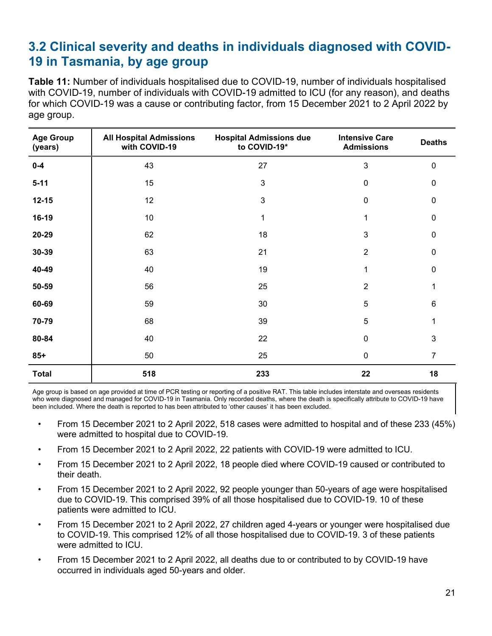## <span id="page-21-0"></span>**3.2 Clinical severity and deaths in individuals diagnosed with COVID-19 in Tasmania, by age group**

**Table 11:** Number of individuals hospitalised due to COVID-19, number of individuals hospitalised with COVID-19, number of individuals with COVID-19 admitted to ICU (for any reason), and deaths for which COVID-19 was a cause or contributing factor, from 15 December 2021 to 2 April 2022 by age group.

| <b>Age Group</b><br>(years) | <b>All Hospital Admissions</b><br>with COVID-19 | <b>Hospital Admissions due</b><br>to COVID-19* | <b>Intensive Care</b><br><b>Admissions</b> | <b>Deaths</b>  |
|-----------------------------|-------------------------------------------------|------------------------------------------------|--------------------------------------------|----------------|
| $0-4$                       | 43                                              | 27                                             | 3                                          | $\mathbf 0$    |
| $5 - 11$                    | 15                                              | 3                                              | $\mathbf 0$                                | 0              |
| $12 - 15$                   | 12                                              | $\mathfrak{B}$                                 | $\mathbf 0$                                | 0              |
| 16-19                       | 10                                              | 1                                              | 1                                          | 0              |
| 20-29                       | 62                                              | 18                                             | 3                                          | $\mathbf 0$    |
| 30-39                       | 63                                              | 21                                             | $\overline{2}$                             | 0              |
| 40-49                       | 40                                              | 19                                             | 1                                          | 0              |
| 50-59                       | 56                                              | 25                                             | $\overline{2}$                             |                |
| 60-69                       | 59                                              | 30                                             | 5                                          | 6              |
| 70-79                       | 68                                              | 39                                             | 5                                          | 1              |
| 80-84                       | 40                                              | 22                                             | $\mathbf 0$                                | 3              |
| $85+$                       | 50                                              | 25                                             | $\pmb{0}$                                  | $\overline{7}$ |
| <b>Total</b>                | 518                                             | 233                                            | 22                                         | 18             |

Age group is based on age provided at time of PCR testing or reporting of a positive RAT. This table includes interstate and overseas residents who were diagnosed and managed for COVID-19 in Tasmania. Only recorded deaths, where the death is specifically attribute to COVID-19 have been included. Where the death is reported to has been attributed to 'other causes' it has been excluded.

- From 15 December 2021 to 2 April 2022, 518 cases were admitted to hospital and of these 233 (45%) were admitted to hospital due to COVID-19.
- From 15 December 2021 to 2 April 2022, 22 patients with COVID-19 were admitted to ICU.
- From 15 December 2021 to 2 April 2022, 18 people died where COVID-19 caused or contributed to their death.
- From 15 December 2021 to 2 April 2022, 92 people younger than 50-years of age were hospitalised due to COVID-19. This comprised 39% of all those hospitalised due to COVID-19. 10 of these patients were admitted to ICU.
- From 15 December 2021 to 2 April 2022, 27 children aged 4-years or younger were hospitalised due to COVID-19. This comprised 12% of all those hospitalised due to COVID-19. 3 of these patients were admitted to ICU.
- From 15 December 2021 to 2 April 2022, all deaths due to or contributed to by COVID-19 have occurred in individuals aged 50-years and older.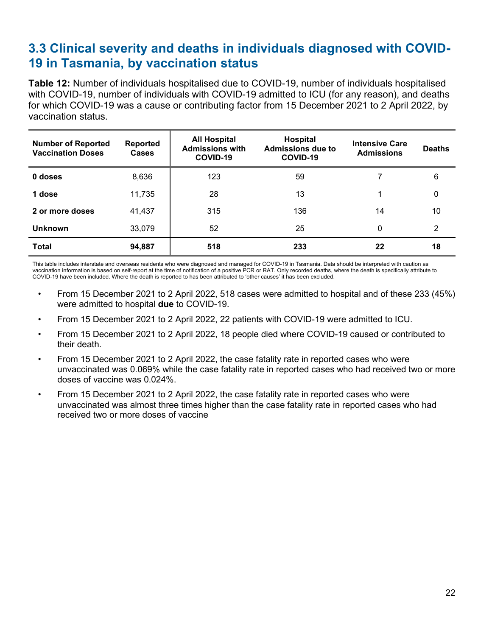## <span id="page-22-0"></span>**3.3 Clinical severity and deaths in individuals diagnosed with COVID-19 in Tasmania, by vaccination status**

**Table 12:** Number of individuals hospitalised due to COVID-19, number of individuals hospitalised with COVID-19, number of individuals with COVID-19 admitted to ICU (for any reason), and deaths for which COVID-19 was a cause or contributing factor from 15 December 2021 to 2 April 2022, by vaccination status.

| <b>Number of Reported</b><br><b>Vaccination Doses</b> | <b>Reported</b><br><b>Cases</b> | <b>All Hospital</b><br><b>Admissions with</b><br>COVID-19 | Hospital<br><b>Admissions due to</b><br>COVID-19 | <b>Intensive Care</b><br><b>Admissions</b> | <b>Deaths</b> |
|-------------------------------------------------------|---------------------------------|-----------------------------------------------------------|--------------------------------------------------|--------------------------------------------|---------------|
| 0 doses                                               | 8,636                           | 123                                                       | 59                                               |                                            | 6             |
| 1 dose                                                | 11,735                          | 28                                                        | 13                                               |                                            | 0             |
| 2 or more doses                                       | 41,437                          | 315                                                       | 136                                              | 14                                         | 10            |
| <b>Unknown</b>                                        | 33,079                          | 52                                                        | 25                                               | 0                                          | 2             |
| <b>Total</b>                                          | 94,887                          | 518                                                       | 233                                              | 22                                         | 18            |

This table includes interstate and overseas residents who were diagnosed and managed for COVID-19 in Tasmania. Data should be interpreted with caution as vaccination information is based on self-report at the time of notification of a positive PCR or RAT. Only recorded deaths, where the death is specifically attribute to COVID-19 have been included. Where the death is reported to has been attributed to 'other causes' it has been excluded.

- From 15 December 2021 to 2 April 2022, 518 cases were admitted to hospital and of these 233 (45%) were admitted to hospital **due** to COVID-19.
- From 15 December 2021 to 2 April 2022, 22 patients with COVID-19 were admitted to ICU.
- From 15 December 2021 to 2 April 2022, 18 people died where COVID-19 caused or contributed to their death.
- From 15 December 2021 to 2 April 2022, the case fatality rate in reported cases who were unvaccinated was 0.069% while the case fatality rate in reported cases who had received two or more doses of vaccine was 0.024%.
- From 15 December 2021 to 2 April 2022, the case fatality rate in reported cases who were unvaccinated was almost three times higher than the case fatality rate in reported cases who had received two or more doses of vaccine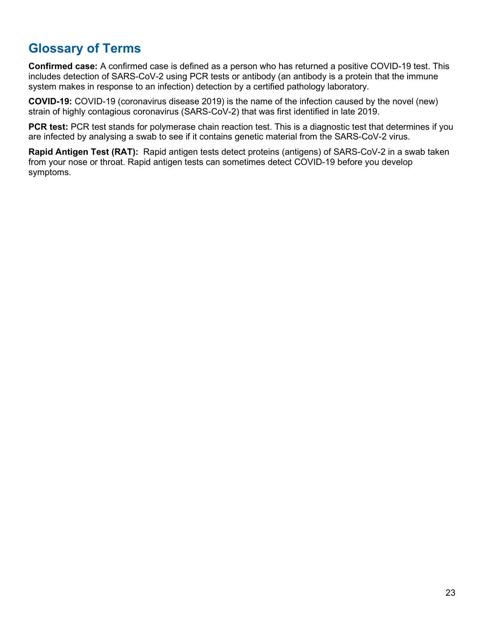# <span id="page-23-0"></span>**Glossary of Terms**

**Confirmed case:** A confirmed case is defined as a person who has returned a positive COVID-19 test. This includes detection of SARS-CoV-2 using PCR tests or antibody (an antibody is a protein that the immune system makes in response to an infection) detection by a certified pathology laboratory.

**COVID-19:** COVID-19 (coronavirus disease 2019) is the name of the infection caused by the novel (new) strain of highly contagious coronavirus (SARS-CoV-2) that was first identified in late 2019.

**PCR test:** PCR test stands for polymerase chain reaction test. This is a diagnostic test that determines if you are infected by analysing a swab to see if it contains genetic material from the SARS-CoV-2 virus.

**Rapid Antigen Test (RAT):** Rapid antigen tests detect proteins (antigens) of SARS-CoV-2 in a swab taken from your nose or throat. Rapid antigen tests can sometimes detect COVID-19 before you develop symptoms.